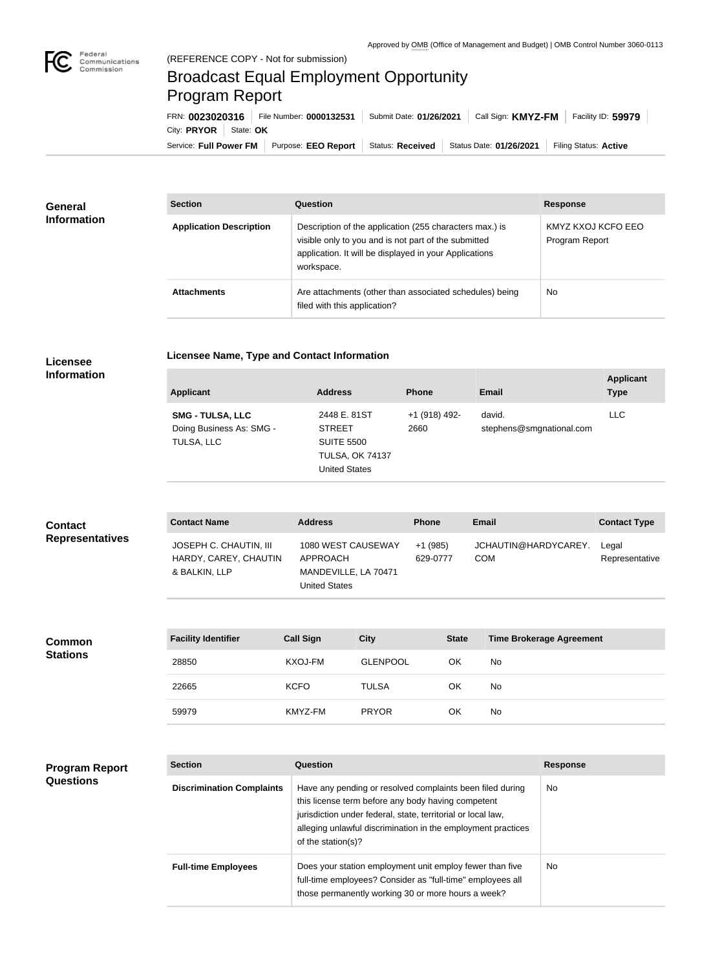## (REFERENCE COPY - Not for submission) Broadcast Equal Employment Opportunity Program Report

**Licensee Name, Type and Contact Information**

Service: Full Power FM Purpose: EEO Report | Status: Received | Status Date: 01/26/2021 | Filing Status: Active City: **PRYOR** State: OK FRN: **0023020316** File Number: **0000132531** Submit Date: **01/26/2021** Call Sign: **KMYZ-FM** Facility ID: **59979**

| <b>General</b><br><b>Information</b> | <b>Section</b>                 | Question                                                                                                                                                                                | <b>Response</b>                      |
|--------------------------------------|--------------------------------|-----------------------------------------------------------------------------------------------------------------------------------------------------------------------------------------|--------------------------------------|
|                                      | <b>Application Description</b> | Description of the application (255 characters max.) is<br>visible only to you and is not part of the submitted<br>application. It will be displayed in your Applications<br>workspace. | KMYZ KXOJ KCFO EEO<br>Program Report |
|                                      | <b>Attachments</b>             | Are attachments (other than associated schedules) being<br>filed with this application?                                                                                                 | <b>No</b>                            |

## **Licensee Information**

**Common Stations**

| <b>Applicant</b>                                                  | <b>Address</b>                                                                                       | <b>Phone</b>          | <b>Email</b>                       | <b>Applicant</b><br><b>Type</b> |
|-------------------------------------------------------------------|------------------------------------------------------------------------------------------------------|-----------------------|------------------------------------|---------------------------------|
| <b>SMG - TULSA, LLC</b><br>Doing Business As: SMG -<br>TULSA, LLC | 2448 E. 81ST<br><b>STREET</b><br><b>SUITE 5500</b><br><b>TULSA, OK 74137</b><br><b>United States</b> | +1 (918) 492-<br>2660 | david.<br>stephens@smgnational.com | <b>LLC</b>                      |

| <b>Contact</b>         | <b>Contact Name</b>                                                     | <b>Address</b>                                                                 | <b>Phone</b>         | <b>Email</b>                       | <b>Contact Type</b>     |
|------------------------|-------------------------------------------------------------------------|--------------------------------------------------------------------------------|----------------------|------------------------------------|-------------------------|
| <b>Representatives</b> | <b>JOSEPH C. CHAUTIN, III</b><br>HARDY, CAREY, CHAUTIN<br>& BALKIN, LLP | 1080 WEST CAUSEWAY<br>APPROACH<br>MANDEVILLE, LA 70471<br><b>United States</b> | +1 (985)<br>629-0777 | JCHAUTIN@HARDYCAREY.<br><b>COM</b> | Legal<br>Representative |

| <b>Facility Identifier</b> | <b>Call Sign</b> | <b>City</b>     | <b>State</b> | Time Brokerage Agreement |
|----------------------------|------------------|-----------------|--------------|--------------------------|
| 28850                      | KXOJ-FM          | <b>GLENPOOL</b> | OK           | No                       |
| 22665                      | <b>KCFO</b>      | <b>TULSA</b>    | OK           | No.                      |
| 59979                      | KMYZ-FM          | <b>PRYOR</b>    | OK           | No                       |

| <b>Program Report</b><br><b>Questions</b> | <b>Section</b>                   | Question                                                                                                                                                                                                                                                              | <b>Response</b> |
|-------------------------------------------|----------------------------------|-----------------------------------------------------------------------------------------------------------------------------------------------------------------------------------------------------------------------------------------------------------------------|-----------------|
|                                           | <b>Discrimination Complaints</b> | Have any pending or resolved complaints been filed during<br>this license term before any body having competent<br>jurisdiction under federal, state, territorial or local law,<br>alleging unlawful discrimination in the employment practices<br>of the station(s)? | No.             |
|                                           | <b>Full-time Employees</b>       | Does your station employment unit employ fewer than five<br>full-time employees? Consider as "full-time" employees all<br>those permanently working 30 or more hours a week?                                                                                          | <b>No</b>       |